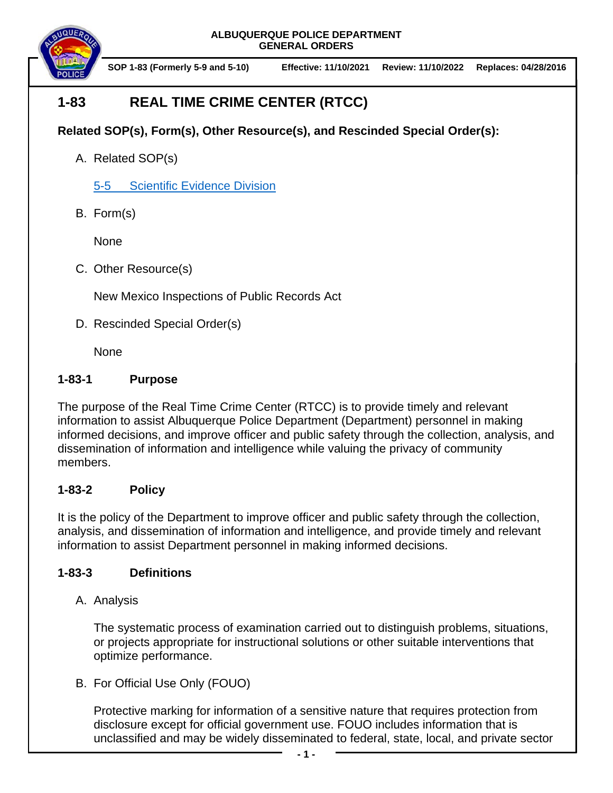

**SOP 1-83 (Formerly 5-9 and 5-10) Effective: 11/10/2021 Review: 11/10/2022 Replaces: 04/28/2016**

# **1-83 REAL TIME CRIME CENTER (RTCC)**

## **Related SOP(s), Form(s), Other Resource(s), and Rescinded Special Order(s):**

A. Related SOP(s)

5-5 [Scientific Evidence Division](https://powerdms.com/docs/398859)

B. Form(s)

None

C. Other Resource(s)

New Mexico Inspections of Public Records Act

D. Rescinded Special Order(s)

None

### **1-83-1 Purpose**

The purpose of the Real Time Crime Center (RTCC) is to provide timely and relevant information to assist Albuquerque Police Department (Department) personnel in making informed decisions, and improve officer and public safety through the collection, analysis, and dissemination of information and intelligence while valuing the privacy of community members.

### **1-83-2 Policy**

It is the policy of the Department to improve officer and public safety through the collection, analysis, and dissemination of information and intelligence, and provide timely and relevant information to assist Department personnel in making informed decisions.

### **1-83-3 Definitions**

A. Analysis

The systematic process of examination carried out to distinguish problems, situations, or projects appropriate for instructional solutions or other suitable interventions that optimize performance.

B. For Official Use Only (FOUO)

Protective marking for information of a sensitive nature that requires protection from disclosure except for official government use. FOUO includes information that is unclassified and may be widely disseminated to federal, state, local, and private sector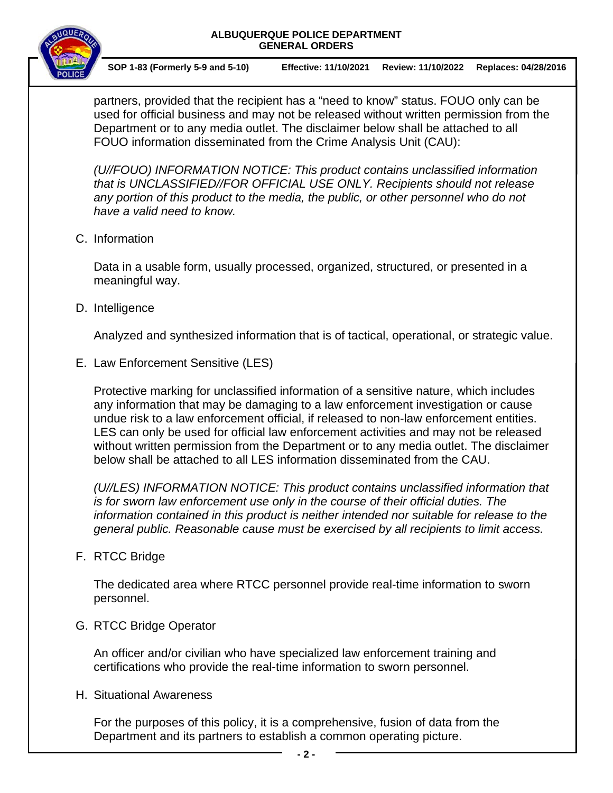

**SOP 1-83 (Formerly 5-9 and 5-10) Effective: 11/10/2021 Review: 11/10/2022 Replaces: 04/28/2016**

partners, provided that the recipient has a "need to know" status. FOUO only can be used for official business and may not be released without written permission from the Department or to any media outlet. The disclaimer below shall be attached to all FOUO information disseminated from the Crime Analysis Unit (CAU):

*(U//FOUO) INFORMATION NOTICE: This product contains unclassified information that is UNCLASSIFIED//FOR OFFICIAL USE ONLY. Recipients should not release*  any portion of this product to the media, the public, or other personnel who do not *have a valid need to know.*

C. Information

Data in a usable form, usually processed, organized, structured, or presented in a meaningful way.

D. Intelligence

Analyzed and synthesized information that is of tactical, operational, or strategic value.

E. Law Enforcement Sensitive (LES)

Protective marking for unclassified information of a sensitive nature, which includes any information that may be damaging to a law enforcement investigation or cause undue risk to a law enforcement official, if released to non-law enforcement entities. LES can only be used for official law enforcement activities and may not be released without written permission from the Department or to any media outlet. The disclaimer below shall be attached to all LES information disseminated from the CAU.

*(U//LES) INFORMATION NOTICE: This product contains unclassified information that is for sworn law enforcement use only in the course of their official duties. The information contained in this product is neither intended nor suitable for release to the general public. Reasonable cause must be exercised by all recipients to limit access.*

F. RTCC Bridge

The dedicated area where RTCC personnel provide real-time information to sworn personnel.

G. RTCC Bridge Operator

An officer and/or civilian who have specialized law enforcement training and certifications who provide the real-time information to sworn personnel.

H. Situational Awareness

For the purposes of this policy, it is a comprehensive, fusion of data from the Department and its partners to establish a common operating picture.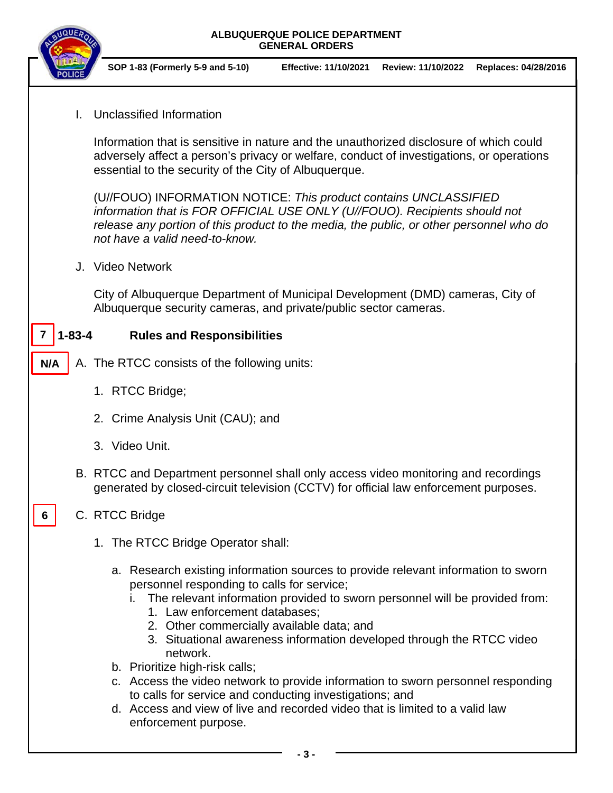

**N/A**

**6**

**SOP 1-83 (Formerly 5-9 and 5-10) Effective: 11/10/2021 Review: 11/10/2022 Replaces: 04/28/2016**

I. Unclassified Information

Information that is sensitive in nature and the unauthorized disclosure of which could adversely affect a person's privacy or welfare, conduct of investigations, or operations essential to the security of the City of Albuquerque.

(U//FOUO) INFORMATION NOTICE: *This product contains UNCLASSIFIED information that is FOR OFFICIAL USE ONLY (U//FOUO). Recipients should not release any portion of this product to the media, the public, or other personnel who do not have a valid need-to-know.*

J. Video Network

City of Albuquerque Department of Municipal Development (DMD) cameras, City of Albuquerque security cameras, and private/public sector cameras.

#### **1-83-4 Rules and Responsibilities 7**

- A. The RTCC consists of the following units:
	- 1. RTCC Bridge;
	- 2. Crime Analysis Unit (CAU); and
	- 3. Video Unit.
	- B. RTCC and Department personnel shall only access video monitoring and recordings generated by closed-circuit television (CCTV) for official law enforcement purposes.

### C. RTCC Bridge

- 1. The RTCC Bridge Operator shall:
	- a. Research existing information sources to provide relevant information to sworn personnel responding to calls for service;
		- i. The relevant information provided to sworn personnel will be provided from:
			- 1. Law enforcement databases;
			- 2. Other commercially available data; and
			- 3. Situational awareness information developed through the RTCC video network.
	- b. Prioritize high-risk calls:
	- c. Access the video network to provide information to sworn personnel responding to calls for service and conducting investigations; and
	- d. Access and view of live and recorded video that is limited to a valid law enforcement purpose.